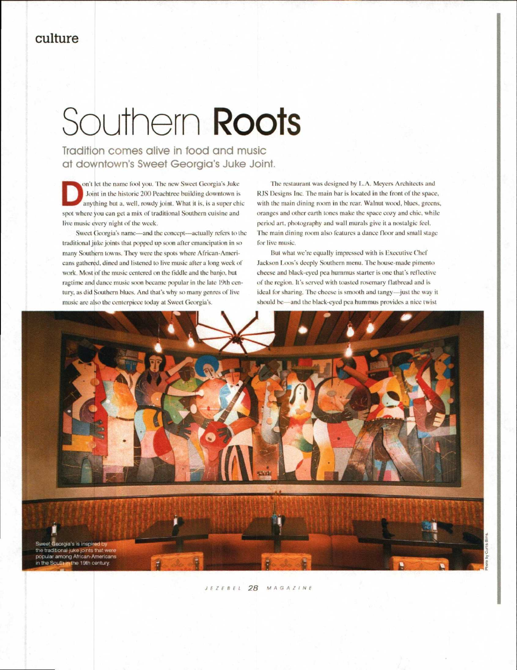## **Southern Roots**

Tradition comes alive in food and music at downtown's Sweet Georgia's Juke Joint.

on't let the name fool you. The new Sweet Georgia's Juke Joint in the historic 200 Peachtree building downtown is anything but a, well, rowdy joint. What it is, is a super chic spot where you can get a mix of traditional Southern cuisine and live music every night of the week.

Sweet Georgia's name—and the concept—actually refers to the traditional juke joints that popped up soon after emancipation in so many Southern towns. They were the spots where African-Americans gathered, dined and listened to live music after a long week of work. Most of the music centered on the fiddle and the banjo, but ragtime and dance music soon became popular in the late 19th century, as did Southern blues. And that's why so many genres of live music are also the centerpiece today at Sweet Georgia's.

The restaurant was designed by L.A. Meyers Architects and RJS Designs Inc. The main bar is located in the front of the space, with the main dining room in the rear. Walnut wood, blues, greens. oranges and other earth tones make the space cozy and chic, while period art, photography and wall murals give it a nostalgic feel. The main dining room also features a dance floor and small stage for live music.

But what we're equally impressed with is Executive Chef Jackson Loos's deeply Southern menu. The house-made pimento cheese and black-eyed pea hummus starter is one that's reflective of the region. It's served with toasted rosemary flathread and is ideal for sharing. The cheese is smooth and tangy—just the way it should be—and the black-eyed pea hummus provides a nice twist



JEZEBEL 28 MAGAZINE